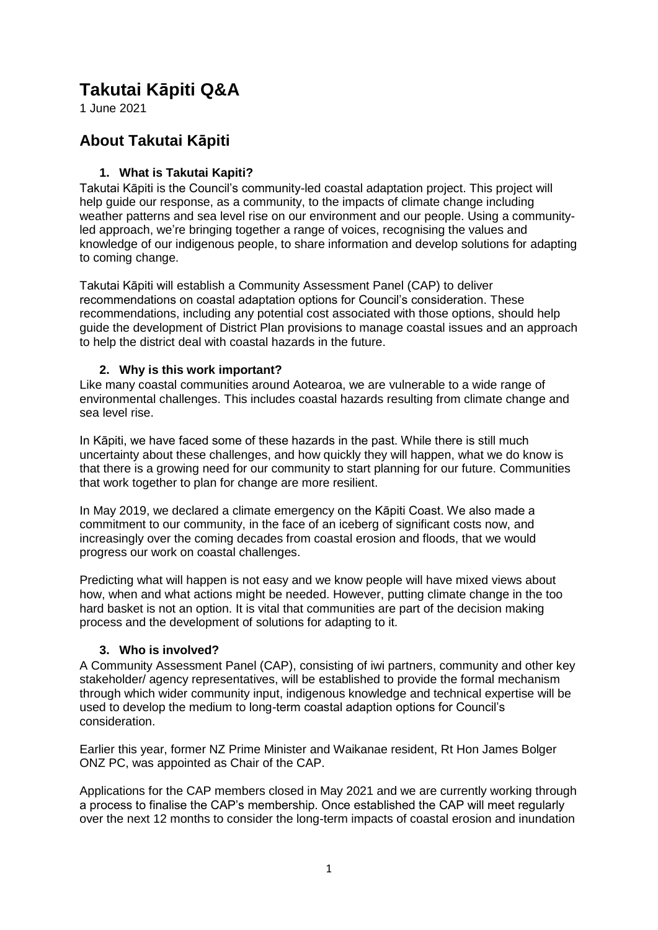# **Takutai Kāpiti Q&A**

1 June 2021

# **About Takutai Kāpiti**

# **1. What is Takutai Kapiti?**

Takutai Kāpiti is the Council's community-led coastal adaptation project. This project will help guide our response, as a community, to the impacts of climate change including weather patterns and sea level rise on our environment and our people. Using a communityled approach, we're bringing together a range of voices, recognising the values and knowledge of our indigenous people, to share information and develop solutions for adapting to coming change.

Takutai Kāpiti will establish a Community Assessment Panel (CAP) to deliver recommendations on coastal adaptation options for Council's consideration. These recommendations, including any potential cost associated with those options, should help guide the development of District Plan provisions to manage coastal issues and an approach to help the district deal with coastal hazards in the future.

# **2. Why is this work important?**

Like many coastal communities around Aotearoa, we are vulnerable to a wide range of environmental challenges. This includes coastal hazards resulting from climate change and sea level rise.

In Kāpiti, we have faced some of these hazards in the past. While there is still much uncertainty about these challenges, and how quickly they will happen, what we do know is that there is a growing need for our community to start planning for our future. Communities that work together to plan for change are more resilient.

In May 2019, we declared a climate emergency on the Kāpiti Coast. We also made a commitment to our community, in the face of an iceberg of significant costs now, and increasingly over the coming decades from coastal erosion and floods, that we would progress our work on coastal challenges.

Predicting what will happen is not easy and we know people will have mixed views about how, when and what actions might be needed. However, putting climate change in the too hard basket is not an option. It is vital that communities are part of the decision making process and the development of solutions for adapting to it.

# **3. Who is involved?**

A Community Assessment Panel (CAP), consisting of iwi partners, community and other key stakeholder/ agency representatives, will be established to provide the formal mechanism through which wider community input, indigenous knowledge and technical expertise will be used to develop the medium to long-term coastal adaption options for Council's consideration.

Earlier this year, former NZ Prime Minister and Waikanae resident, Rt Hon James Bolger ONZ PC, was appointed as Chair of the CAP.

Applications for the CAP members closed in May 2021 and we are currently working through a process to finalise the CAP's membership. Once established the CAP will meet regularly over the next 12 months to consider the long-term impacts of coastal erosion and inundation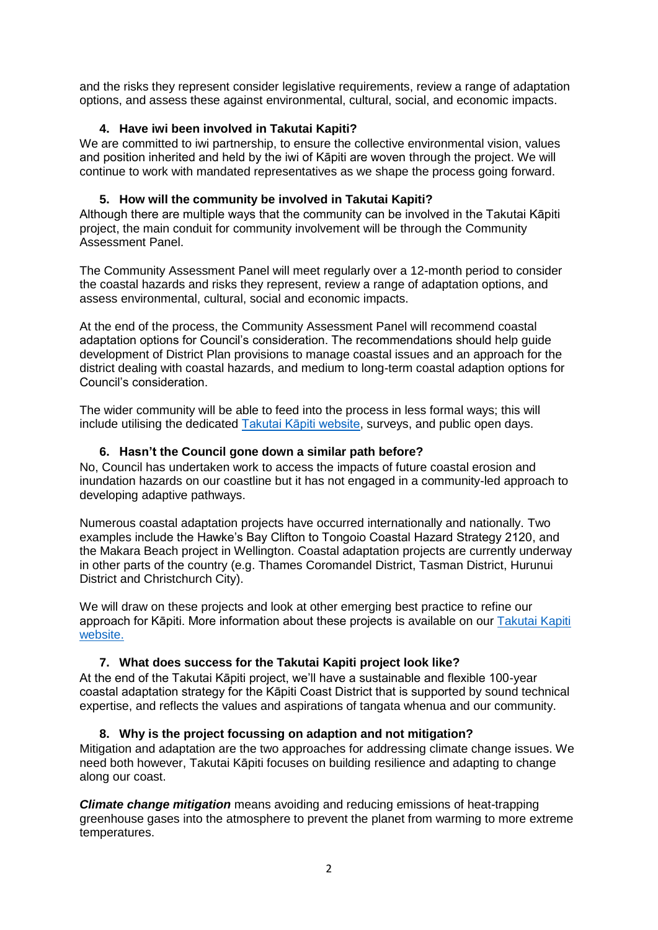and the risks they represent consider legislative requirements, review a range of adaptation options, and assess these against environmental, cultural, social, and economic impacts.

# **4. Have iwi been involved in Takutai Kapiti?**

We are committed to iwi partnership, to ensure the collective environmental vision, values and position inherited and held by the iwi of Kāpiti are woven through the project. We will continue to work with mandated representatives as we shape the process going forward.

# **5. How will the community be involved in Takutai Kapiti?**

Although there are multiple ways that the community can be involved in the Takutai Kāpiti project, the main conduit for community involvement will be through the Community Assessment Panel.

The Community Assessment Panel will meet regularly over a 12-month period to consider the coastal hazards and risks they represent, review a range of adaptation options, and assess environmental, cultural, social and economic impacts.

At the end of the process, the Community Assessment Panel will recommend coastal adaptation options for Council's consideration. The recommendations should help guide development of District Plan provisions to manage coastal issues and an approach for the district dealing with coastal hazards, and medium to long-term coastal adaption options for Council's consideration.

The wider community will be able to feed into the process in less formal ways; this will include utilising the dedicated [Takutai Kāpiti website,](https://takutaikapiti.nz/) surveys, and public open days.

# **6. Hasn't the Council gone down a similar path before?**

No, Council has undertaken work to access the impacts of future coastal erosion and inundation hazards on our coastline but it has not engaged in a community-led approach to developing adaptive pathways.

Numerous coastal adaptation projects have occurred internationally and nationally. Two examples include the Hawke's Bay Clifton to Tongoio Coastal Hazard Strategy 2120, and the Makara Beach project in Wellington. Coastal adaptation projects are currently underway in other parts of the country (e.g. Thames Coromandel District, Tasman District, Hurunui District and Christchurch City).

We will draw on these projects and look at other emerging best practice to refine our approach for Kāpiti. More information about these projects is available on our [Takutai Kapiti](https://takutaikapiti.nz/articles/resources/)  [website.](https://takutaikapiti.nz/articles/resources/)

# **7. What does success for the Takutai Kapiti project look like?**

At the end of the Takutai Kāpiti project, we'll have a sustainable and flexible 100-year coastal adaptation strategy for the Kāpiti Coast District that is supported by sound technical expertise, and reflects the values and aspirations of tangata whenua and our community.

# **8. Why is the project focussing on adaption and not mitigation?**

Mitigation and adaptation are the two approaches for addressing climate change issues. We need both however, Takutai Kāpiti focuses on building resilience and adapting to change along our coast.

*Climate change mitigation* means avoiding and reducing emissions of heat-trapping greenhouse gases into the atmosphere to prevent the planet from warming to more extreme temperatures.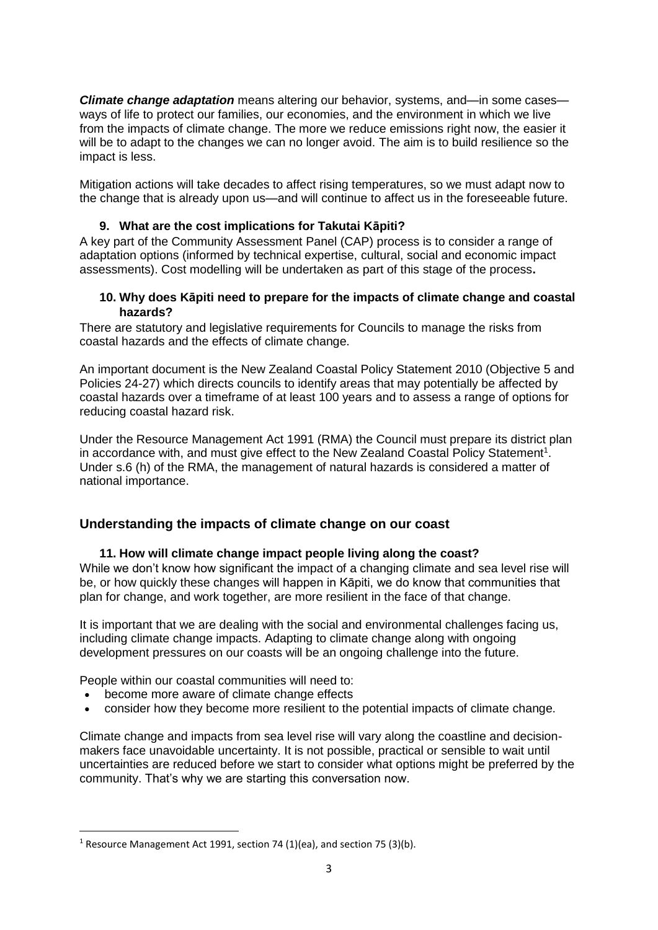*Climate change adaptation* means altering our behavior, systems, and—in some cases ways of life to protect our families, our economies, and the environment in which we live from the impacts of climate change. The more we reduce emissions right now, the easier it will be to adapt to the changes we can no longer avoid. The aim is to build resilience so the impact is less.

Mitigation actions will take decades to affect rising temperatures, so we must adapt now to the change that is already upon us—and will continue to affect us in the foreseeable future.

# **9. What are the cost implications for Takutai Kāpiti?**

A key part of the Community Assessment Panel (CAP) process is to consider a range of adaptation options (informed by technical expertise, cultural, social and economic impact assessments). Cost modelling will be undertaken as part of this stage of the process**.**

#### **10. Why does Kāpiti need to prepare for the impacts of climate change and coastal hazards?**

There are statutory and legislative requirements for Councils to manage the risks from coastal hazards and the effects of climate change.

An important document is the New Zealand Coastal Policy Statement 2010 (Objective 5 and Policies 24-27) which directs councils to identify areas that may potentially be affected by coastal hazards over a timeframe of at least 100 years and to assess a range of options for reducing coastal hazard risk.

Under the Resource Management Act 1991 (RMA) the Council must prepare its district plan in accordance with, and must give effect to the New Zealand Coastal Policy Statement<sup>1</sup>. Under s.6 (h) of the RMA, the management of natural hazards is considered a matter of national importance.

# **Understanding the impacts of climate change on our coast**

# **11. How will climate change impact people living along the coast?**

While we don't know how significant the impact of a changing climate and sea level rise will be, or how quickly these changes will happen in Kāpiti, we do know that communities that plan for change, and work together, are more resilient in the face of that change.

It is important that we are dealing with the social and environmental challenges facing us, including climate change impacts. Adapting to climate change along with ongoing development pressures on our coasts will be an ongoing challenge into the future.

People within our coastal communities will need to:

become more aware of climate change effects

**.** 

consider how they become more resilient to the potential impacts of climate change.

Climate change and impacts from sea level rise will vary along the coastline and decisionmakers face unavoidable uncertainty. It is not possible, practical or sensible to wait until uncertainties are reduced before we start to consider what options might be preferred by the community. That's why we are starting this conversation now.

<sup>&</sup>lt;sup>1</sup> Resource Management Act 1991, section 74 (1)(ea), and section 75 (3)(b).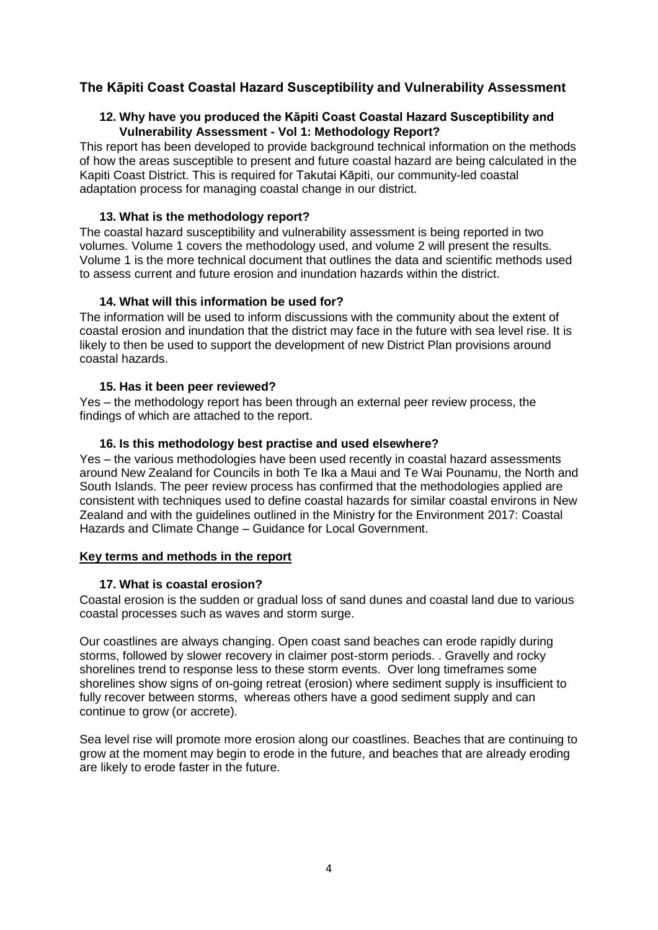# **The Kāpiti Coast Coastal Hazard Susceptibility and Vulnerability Assessment**

# **12. Why have you produced the Kāpiti Coast Coastal Hazard Susceptibility and Vulnerability Assessment - Vol 1: Methodology Report?**

This report has been developed to provide background technical information on the methods of how the areas susceptible to present and future coastal hazard are being calculated in the Kapiti Coast District. This is required for Takutai Kāpiti, our community-led coastal adaptation process for managing coastal change in our district.

### **13. What is the methodology report?**

The coastal hazard susceptibility and vulnerability assessment is being reported in two volumes. Volume 1 covers the methodology used, and volume 2 will present the results. Volume 1 is the more technical document that outlines the data and scientific methods used to assess current and future erosion and inundation hazards within the district.

#### **14. What will this information be used for?**

The information will be used to inform discussions with the community about the extent of coastal erosion and inundation that the district may face in the future with sea level rise. It is likely to then be used to support the development of new District Plan provisions around coastal hazards.

#### **15. Has it been peer reviewed?**

Yes – the methodology report has been through an external peer review process, the findings of which are attached to the report.

#### **16. Is this methodology best practise and used elsewhere?**

Yes – the various methodologies have been used recently in coastal hazard assessments around New Zealand for Councils in both Te Ika a Maui and Te Wai Pounamu, the North and South Islands. The peer review process has confirmed that the methodologies applied are consistent with techniques used to define coastal hazards for similar coastal environs in New Zealand and with the guidelines outlined in the Ministry for the Environment 2017: Coastal Hazards and Climate Change – Guidance for Local Government.

# **Key terms and methods in the report**

#### **17. What is coastal erosion?**

Coastal erosion is the sudden or gradual loss of sand dunes and coastal land due to various coastal processes such as waves and storm surge.

Our coastlines are always changing. Open coast sand beaches can erode rapidly during storms, followed by slower recovery in claimer post-storm periods. . Gravelly and rocky shorelines trend to response less to these storm events. Over long timeframes some shorelines show signs of on-going retreat (erosion) where sediment supply is insufficient to fully recover between storms, whereas others have a good sediment supply and can continue to grow (or accrete).

Sea level rise will promote more erosion along our coastlines. Beaches that are continuing to grow at the moment may begin to erode in the future, and beaches that are already eroding are likely to erode faster in the future.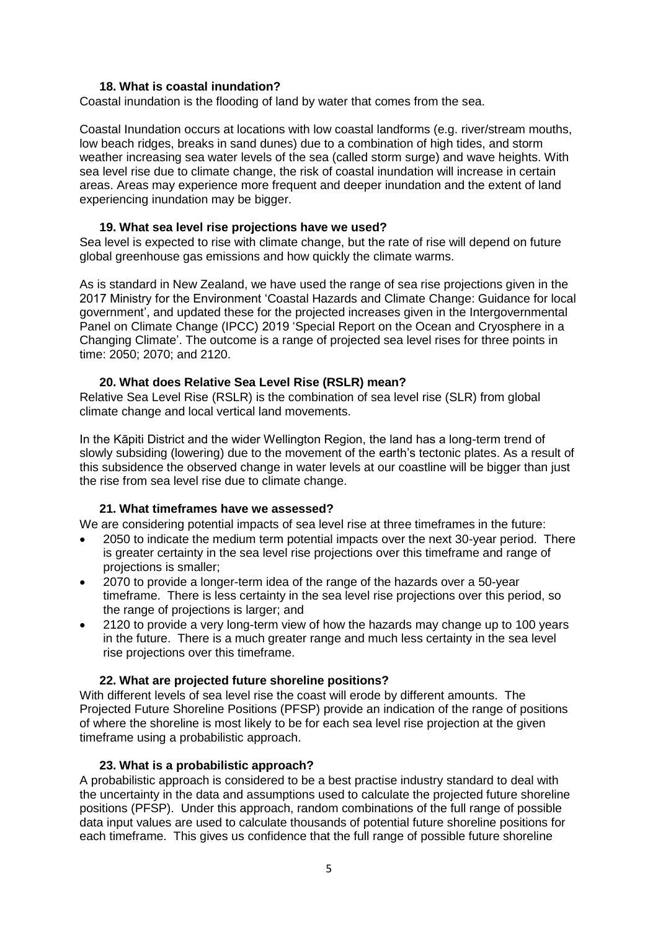# **18. What is coastal inundation?**

Coastal inundation is the flooding of land by water that comes from the sea.

Coastal Inundation occurs at locations with low coastal landforms (e.g. river/stream mouths, low beach ridges, breaks in sand dunes) due to a combination of high tides, and storm weather increasing sea water levels of the sea (called storm surge) and wave heights. With sea level rise due to climate change, the risk of coastal inundation will increase in certain areas. Areas may experience more frequent and deeper inundation and the extent of land experiencing inundation may be bigger.

#### **19. What sea level rise projections have we used?**

Sea level is expected to rise with climate change, but the rate of rise will depend on future global greenhouse gas emissions and how quickly the climate warms.

As is standard in New Zealand, we have used the range of sea rise projections given in the 2017 Ministry for the Environment 'Coastal Hazards and Climate Change: Guidance for local government', and updated these for the projected increases given in the Intergovernmental Panel on Climate Change (IPCC) 2019 'Special Report on the Ocean and Cryosphere in a Changing Climate'. The outcome is a range of projected sea level rises for three points in time: 2050; 2070; and 2120.

#### **20. What does Relative Sea Level Rise (RSLR) mean?**

Relative Sea Level Rise (RSLR) is the combination of sea level rise (SLR) from global climate change and local vertical land movements.

In the Kāpiti District and the wider Wellington Region, the land has a long-term trend of slowly subsiding (lowering) due to the movement of the earth's tectonic plates. As a result of this subsidence the observed change in water levels at our coastline will be bigger than just the rise from sea level rise due to climate change.

# **21. What timeframes have we assessed?**

We are considering potential impacts of sea level rise at three timeframes in the future:

- 2050 to indicate the medium term potential impacts over the next 30-year period. There is greater certainty in the sea level rise projections over this timeframe and range of projections is smaller;
- 2070 to provide a longer-term idea of the range of the hazards over a 50-year timeframe. There is less certainty in the sea level rise projections over this period, so the range of projections is larger; and
- 2120 to provide a very long-term view of how the hazards may change up to 100 years in the future. There is a much greater range and much less certainty in the sea level rise projections over this timeframe.

# **22. What are projected future shoreline positions?**

With different levels of sea level rise the coast will erode by different amounts. The Projected Future Shoreline Positions (PFSP) provide an indication of the range of positions of where the shoreline is most likely to be for each sea level rise projection at the given timeframe using a probabilistic approach.

#### **23. What is a probabilistic approach?**

A probabilistic approach is considered to be a best practise industry standard to deal with the uncertainty in the data and assumptions used to calculate the projected future shoreline positions (PFSP). Under this approach, random combinations of the full range of possible data input values are used to calculate thousands of potential future shoreline positions for each timeframe. This gives us confidence that the full range of possible future shoreline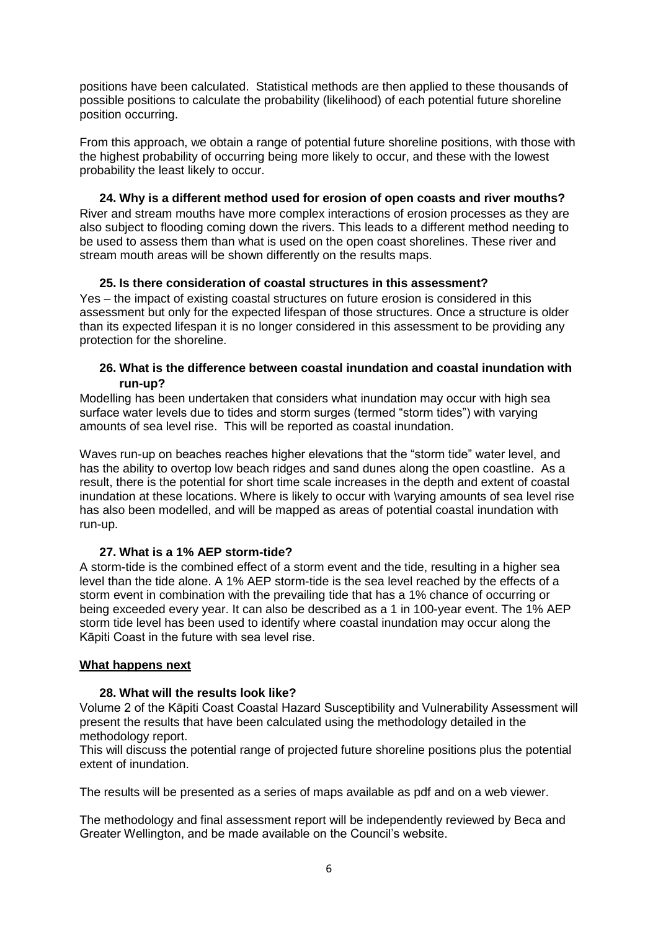positions have been calculated. Statistical methods are then applied to these thousands of possible positions to calculate the probability (likelihood) of each potential future shoreline position occurring.

From this approach, we obtain a range of potential future shoreline positions, with those with the highest probability of occurring being more likely to occur, and these with the lowest probability the least likely to occur.

**24. Why is a different method used for erosion of open coasts and river mouths?** River and stream mouths have more complex interactions of erosion processes as they are also subject to flooding coming down the rivers. This leads to a different method needing to be used to assess them than what is used on the open coast shorelines. These river and stream mouth areas will be shown differently on the results maps.

#### **25. Is there consideration of coastal structures in this assessment?**

Yes – the impact of existing coastal structures on future erosion is considered in this assessment but only for the expected lifespan of those structures. Once a structure is older than its expected lifespan it is no longer considered in this assessment to be providing any protection for the shoreline.

#### **26. What is the difference between coastal inundation and coastal inundation with run-up?**

Modelling has been undertaken that considers what inundation may occur with high sea surface water levels due to tides and storm surges (termed "storm tides") with varying amounts of sea level rise. This will be reported as coastal inundation.

Waves run-up on beaches reaches higher elevations that the "storm tide" water level, and has the ability to overtop low beach ridges and sand dunes along the open coastline. As a result, there is the potential for short time scale increases in the depth and extent of coastal inundation at these locations. Where is likely to occur with \varying amounts of sea level rise has also been modelled, and will be mapped as areas of potential coastal inundation with run-up.

# **27. What is a 1% AEP storm-tide?**

A storm-tide is the combined effect of a storm event and the tide, resulting in a higher sea level than the tide alone. A 1% AEP storm-tide is the sea level reached by the effects of a storm event in combination with the prevailing tide that has a 1% chance of occurring or being exceeded every year. It can also be described as a 1 in 100-year event. The 1% AEP storm tide level has been used to identify where coastal inundation may occur along the Kāpiti Coast in the future with sea level rise.

#### **What happens next**

# **28. What will the results look like?**

Volume 2 of the Kāpiti Coast Coastal Hazard Susceptibility and Vulnerability Assessment will present the results that have been calculated using the methodology detailed in the methodology report.

This will discuss the potential range of projected future shoreline positions plus the potential extent of inundation.

The results will be presented as a series of maps available as pdf and on a web viewer.

The methodology and final assessment report will be independently reviewed by Beca and Greater Wellington, and be made available on the Council's website.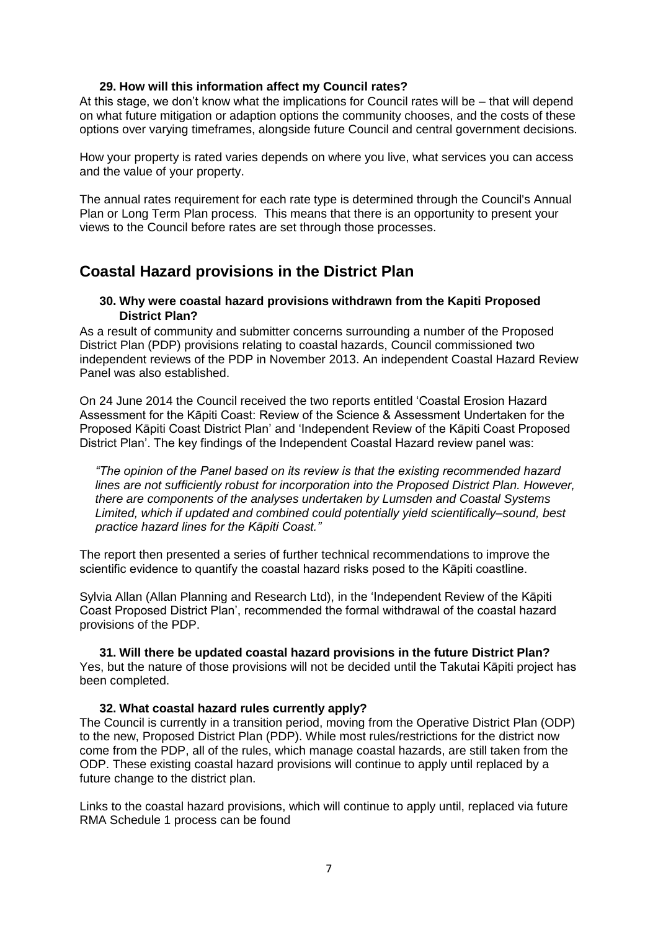#### **29. How will this information affect my Council rates?**

At this stage, we don't know what the implications for Council rates will be – that will depend on what future mitigation or adaption options the community chooses, and the costs of these options over varying timeframes, alongside future Council and central government decisions.

How your property is rated varies depends on where you live, what services you can access and the value of your property.

The annual rates requirement for each rate type is determined through the Council's Annual Plan or Long Term Plan process. This means that there is an opportunity to present your views to the Council before rates are set through those processes.

# **Coastal Hazard provisions in the District Plan**

#### **30. Why were coastal hazard provisions withdrawn from the Kapiti Proposed District Plan?**

As a result of community and submitter concerns surrounding a number of the Proposed District Plan (PDP) provisions relating to coastal hazards, Council commissioned two independent reviews of the PDP in November 2013. An independent Coastal Hazard Review Panel was also established.

On 24 June 2014 the Council received the two reports entitled 'Coastal Erosion Hazard Assessment for the Kāpiti Coast: Review of the Science & Assessment Undertaken for the Proposed Kāpiti Coast District Plan' and 'Independent Review of the Kāpiti Coast Proposed District Plan'. The key findings of the Independent Coastal Hazard review panel was:

*"The opinion of the Panel based on its review is that the existing recommended hazard lines are not sufficiently robust for incorporation into the Proposed District Plan. However, there are components of the analyses undertaken by Lumsden and Coastal Systems Limited, which if updated and combined could potentially yield scientifically–sound, best practice hazard lines for the Kāpiti Coast."*

The report then presented a series of further technical recommendations to improve the scientific evidence to quantify the coastal hazard risks posed to the Kāpiti coastline.

Sylvia Allan (Allan Planning and Research Ltd), in the 'Independent Review of the Kāpiti Coast Proposed District Plan', recommended the formal withdrawal of the coastal hazard provisions of the PDP.

**31. Will there be updated coastal hazard provisions in the future District Plan?** Yes, but the nature of those provisions will not be decided until the Takutai Kāpiti project has been completed.

# **32. What coastal hazard rules currently apply?**

The Council is currently in a transition period, moving from the Operative District Plan (ODP) to the new, Proposed District Plan (PDP). While most rules/restrictions for the district now come from the PDP, all of the rules, which manage coastal hazards, are still taken from the ODP. These existing coastal hazard provisions will continue to apply until replaced by a future change to the district plan.

Links to the coastal hazard provisions, which will continue to apply until, replaced via future RMA Schedule 1 process can be found